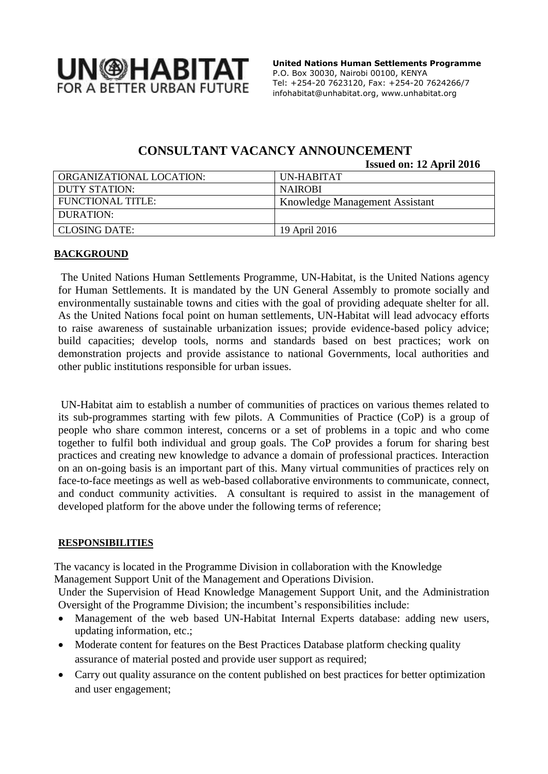

 **United Nations Human Settlements Programme** P.O. Box 30030, Nairobi 00100, KENYA Tel: +254-20 7623120, Fax: +254-20 7624266/7 [infohabitat@unhabitat.org,](mailto:infohabitat@unhabitat.org) www.unhabitat.org

# **CONSULTANT VACANCY ANNOUNCEMENT**

**Issued on: 12 April 2016**

| ORGANIZATIONAL LOCATION: | UN-HABITAT                     |
|--------------------------|--------------------------------|
| DUTY STATION:            | <b>NAIROBI</b>                 |
| FUNCTIONAL TITLE:        | Knowledge Management Assistant |
| DURATION:                |                                |
| CLOSING DATE:            | 19 April 2016                  |

### **BACKGROUND**

The United Nations Human Settlements Programme, UN-Habitat, is the United Nations agency for Human Settlements. It is mandated by the UN General Assembly to promote socially and environmentally sustainable towns and cities with the goal of providing adequate shelter for all. As the United Nations focal point on human settlements, UN-Habitat will lead advocacy efforts to raise awareness of sustainable urbanization issues; provide evidence-based policy advice; build capacities; develop tools, norms and standards based on best practices; work on demonstration projects and provide assistance to national Governments, local authorities and other public institutions responsible for urban issues.

UN-Habitat aim to establish a number of communities of practices on various themes related to its sub-programmes starting with few pilots. A Communities of Practice (CoP) is a group of people who share common interest, concerns or a set of problems in a topic and who come together to fulfil both individual and group goals. The CoP provides a forum for sharing best practices and creating new knowledge to advance a domain of professional practices. Interaction on an on-going basis is an important part of this. Many virtual communities of practices rely on face-to-face meetings as well as web-based collaborative environments to communicate, connect, and conduct community activities. A consultant is required to assist in the management of developed platform for the above under the following terms of reference;

### **RESPONSIBILITIES**

The vacancy is located in the Programme Division in collaboration with the Knowledge Management Support Unit of the Management and Operations Division.

Under the Supervision of Head Knowledge Management Support Unit, and the Administration Oversight of the Programme Division; the incumbent's responsibilities include:

- Management of the web based UN-Habitat Internal Experts database: adding new users, updating information, etc.;
- Moderate content for features on the Best Practices Database platform checking quality assurance of material posted and provide user support as required;
- Carry out quality assurance on the content published on best practices for better optimization and user engagement;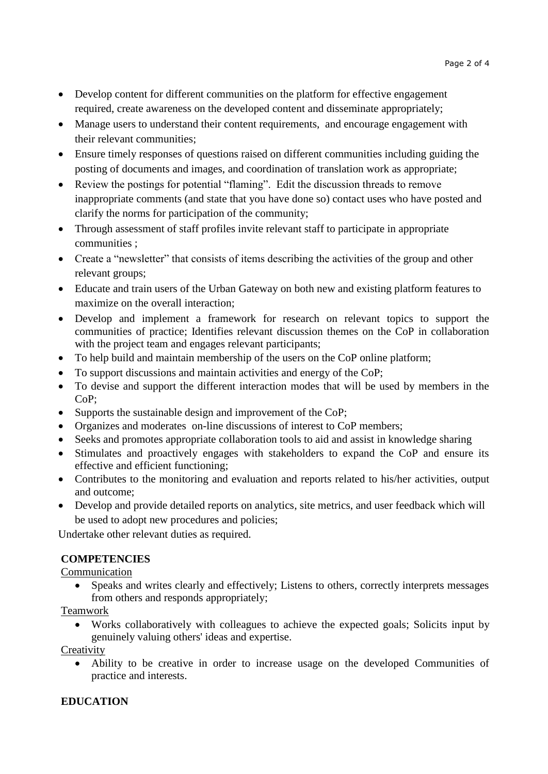- Develop content for different communities on the platform for effective engagement required, create awareness on the developed content and disseminate appropriately;
- Manage users to understand their content requirements, and encourage engagement with their relevant communities;
- Ensure timely responses of questions raised on different communities including guiding the posting of documents and images, and coordination of translation work as appropriate;
- Review the postings for potential "flaming". Edit the discussion threads to remove inappropriate comments (and state that you have done so) contact uses who have posted and clarify the norms for participation of the community;
- Through assessment of staff profiles invite relevant staff to participate in appropriate communities ;
- Create a "newsletter" that consists of items describing the activities of the group and other relevant groups;
- Educate and train users of the Urban Gateway on both new and existing platform features to maximize on the overall interaction;
- Develop and implement a framework for research on relevant topics to support the communities of practice; Identifies relevant discussion themes on the CoP in collaboration with the project team and engages relevant participants;
- To help build and maintain membership of the users on the CoP online platform;
- To support discussions and maintain activities and energy of the CoP;
- To devise and support the different interaction modes that will be used by members in the CoP;
- Supports the sustainable design and improvement of the CoP;
- Organizes and moderates on-line discussions of interest to CoP members;
- Seeks and promotes appropriate collaboration tools to aid and assist in knowledge sharing
- Stimulates and proactively engages with stakeholders to expand the CoP and ensure its effective and efficient functioning;
- Contributes to the monitoring and evaluation and reports related to his/her activities, output and outcome;
- Develop and provide detailed reports on analytics, site metrics, and user feedback which will be used to adopt new procedures and policies;

Undertake other relevant duties as required.

# **COMPETENCIES**

Communication

 Speaks and writes clearly and effectively; Listens to others, correctly interprets messages from others and responds appropriately;

Teamwork

 Works collaboratively with colleagues to achieve the expected goals; Solicits input by genuinely valuing others' ideas and expertise.

**Creativity** 

 Ability to be creative in order to increase usage on the developed Communities of practice and interests.

# **EDUCATION**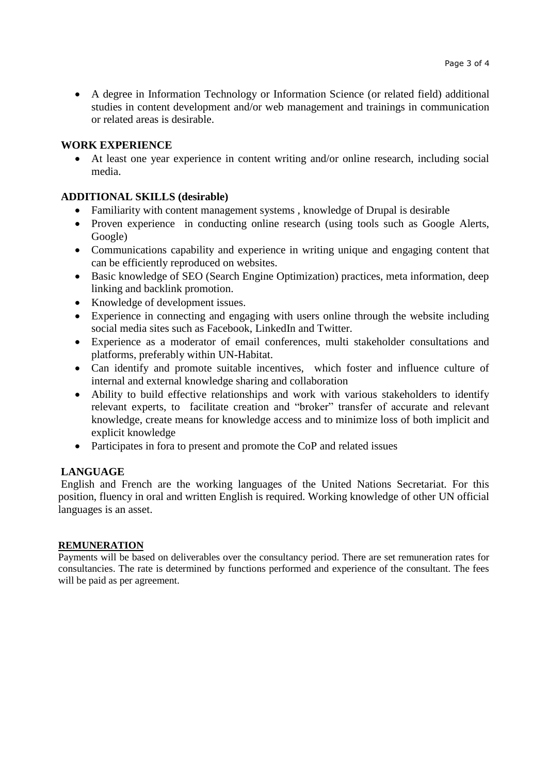A degree in Information Technology or Information Science (or related field) additional studies in content development and/or web management and trainings in communication or related areas is desirable.

### **WORK EXPERIENCE**

 At least one year experience in content writing and/or online research, including social media.

### **ADDITIONAL SKILLS (desirable)**

- Familiarity with content management systems , knowledge of Drupal is desirable
- Proven experience in conducting online research (using tools such as Google Alerts, Google)
- Communications capability and experience in writing unique and engaging content that can be efficiently reproduced on websites.
- Basic knowledge of SEO (Search Engine Optimization) practices, meta information, deep linking and backlink promotion.
- Knowledge of development issues.
- Experience in connecting and engaging with users online through the website including social media sites such as Facebook, LinkedIn and Twitter.
- Experience as a moderator of email conferences, multi stakeholder consultations and platforms, preferably within UN-Habitat.
- Can identify and promote suitable incentives, which foster and influence culture of internal and external knowledge sharing and collaboration
- Ability to build effective relationships and work with various stakeholders to identify relevant experts, to facilitate creation and "broker" transfer of accurate and relevant knowledge, create means for knowledge access and to minimize loss of both implicit and explicit knowledge
- Participates in fora to present and promote the CoP and related issues

### **LANGUAGE**

English and French are the working languages of the United Nations Secretariat. For this position, fluency in oral and written English is required. Working knowledge of other UN official languages is an asset.

### **REMUNERATION**

Payments will be based on deliverables over the consultancy period. There are set remuneration rates for consultancies. The rate is determined by functions performed and experience of the consultant. The fees will be paid as per agreement.